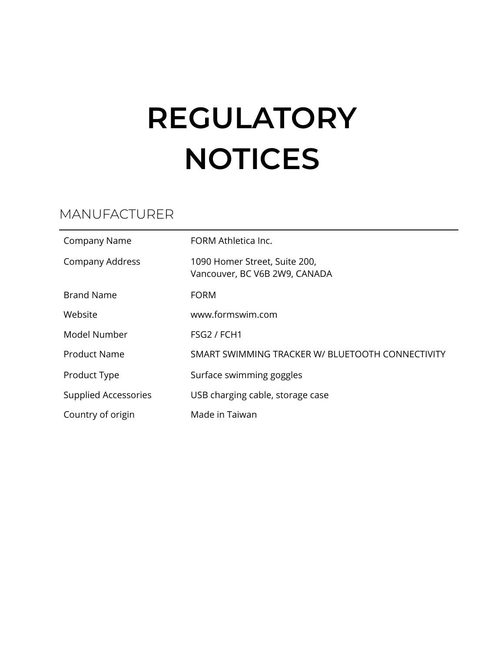# **REGULATORY NOTICES**

## MANUFACTURER

| <b>Company Name</b>         | FORM Athletica Inc.                                            |
|-----------------------------|----------------------------------------------------------------|
| Company Address             | 1090 Homer Street, Suite 200,<br>Vancouver, BC V6B 2W9, CANADA |
| <b>Brand Name</b>           | <b>FORM</b>                                                    |
| Website                     | www.formswim.com                                               |
| Model Number                | FSG2 / FCH1                                                    |
| <b>Product Name</b>         | SMART SWIMMING TRACKER W/ BLUETOOTH CONNECTIVITY               |
| Product Type                | Surface swimming goggles                                       |
| <b>Supplied Accessories</b> | USB charging cable, storage case                               |
| Country of origin           | Made in Taiwan                                                 |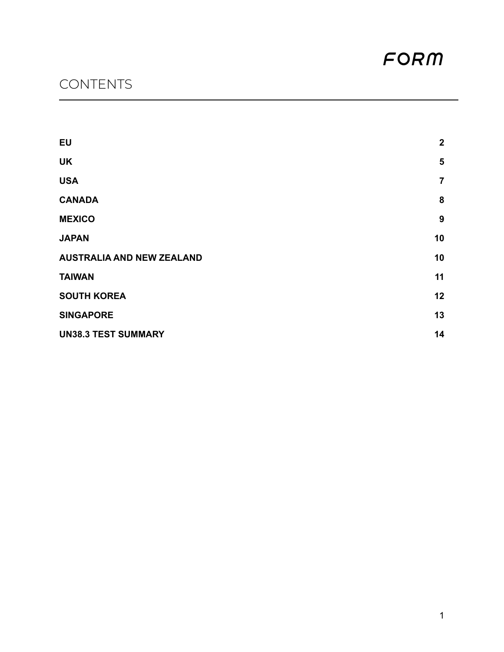# **CONTENTS**

| <b>EU</b>                        | $\mathbf{2}$   |
|----------------------------------|----------------|
| <b>UK</b>                        | 5              |
| <b>USA</b>                       | $\overline{7}$ |
| <b>CANADA</b>                    | 8              |
| <b>MEXICO</b>                    | 9              |
| <b>JAPAN</b>                     | 10             |
| <b>AUSTRALIA AND NEW ZEALAND</b> | 10             |
| <b>TAIWAN</b>                    | 11             |
| <b>SOUTH KOREA</b>               | 12             |
| <b>SINGAPORE</b>                 | 13             |
| <b>UN38.3 TEST SUMMARY</b>       | 14             |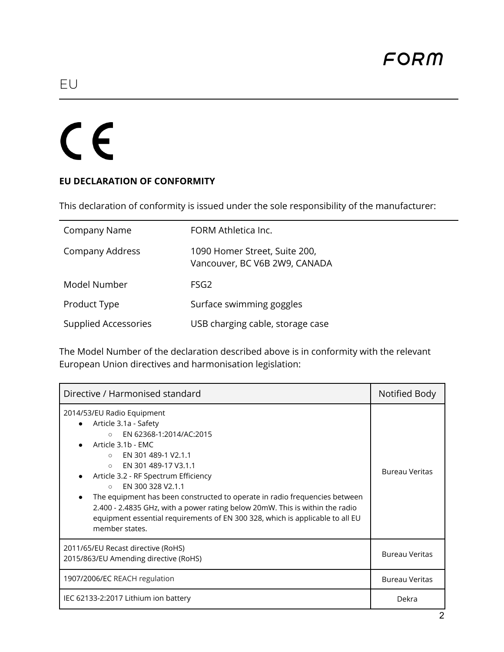# <span id="page-2-0"></span> $C<sub>f</sub>$

#### **EU DECLARATION OF CONFORMITY**

This declaration of conformity is issued under the sole responsibility of the manufacturer:

| Company Name                | FORM Athletica Inc.                                            |
|-----------------------------|----------------------------------------------------------------|
| Company Address             | 1090 Homer Street, Suite 200,<br>Vancouver, BC V6B 2W9, CANADA |
| Model Number                | FSG2                                                           |
| Product Type                | Surface swimming goggles                                       |
| <b>Supplied Accessories</b> | USB charging cable, storage case                               |

The Model Number of the declaration described above is in conformity with the relevant European Union directives and harmonisation legislation:

| Directive / Harmonised standard                                                                                                                                                                                                                                                                                                                                                                                                                                                                                              | Notified Body         |
|------------------------------------------------------------------------------------------------------------------------------------------------------------------------------------------------------------------------------------------------------------------------------------------------------------------------------------------------------------------------------------------------------------------------------------------------------------------------------------------------------------------------------|-----------------------|
| 2014/53/EU Radio Equipment<br>Article 3.1a - Safety<br>EN 62368-1:2014/AC:2015<br>$\circ$<br>Article 3.1b - EMC<br>EN 301 489-1 V2.1.1<br>$\cap$<br>EN 301 489-17 V3.1.1<br>$\circ$<br>Article 3.2 - RF Spectrum Efficiency<br>EN 300 328 V2.1.1<br>$\circ$<br>The equipment has been constructed to operate in radio frequencies between<br>2.400 - 2.4835 GHz, with a power rating below 20mW. This is within the radio<br>equipment essential requirements of EN 300 328, which is applicable to all EU<br>member states. | Bureau Veritas        |
| 2011/65/EU Recast directive (RoHS)<br>2015/863/EU Amending directive (RoHS)                                                                                                                                                                                                                                                                                                                                                                                                                                                  | Bureau Veritas        |
| 1907/2006/EC REACH regulation                                                                                                                                                                                                                                                                                                                                                                                                                                                                                                | <b>Bureau Veritas</b> |
| IEC 62133-2:2017 Lithium ion battery                                                                                                                                                                                                                                                                                                                                                                                                                                                                                         | Dekra                 |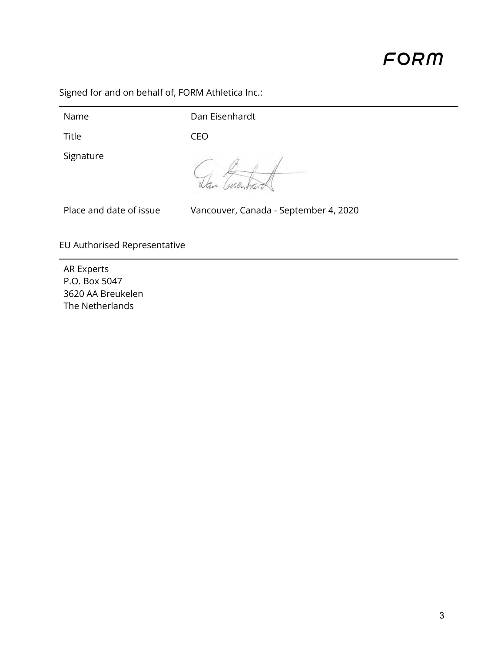Signed for and on behalf of, FORM Athletica Inc.:

Name Dan Eisenhardt

Title CEO

Signature

Dan Cusent

Place and date of issue Vancouver, Canada - September 4, 2020

EU Authorised Representative

AR Experts P.O. Box 5047 3620 AA Breukelen The Netherlands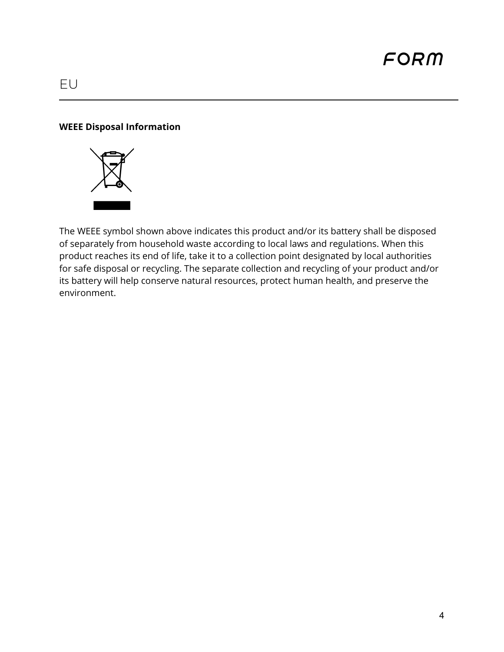## EU

#### **WEEE Disposal Information**



The WEEE symbol shown above indicates this product and/or its battery shall be disposed of separately from household waste according to local laws and regulations. When this product reaches its end of life, take it to a collection point designated by local authorities for safe disposal or recycling. The separate collection and recycling of your product and/or its battery will help conserve natural resources, protect human health, and preserve the environment.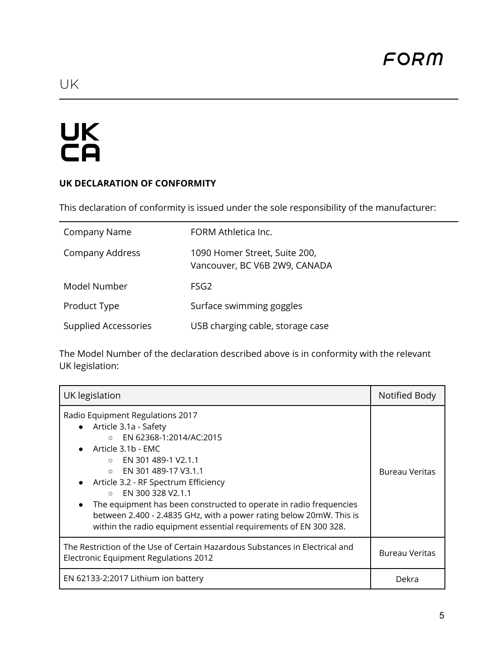# <span id="page-5-0"></span>UK<br>CA

#### **UK DECLARATION OF CONFORMITY**

This declaration of conformity is issued under the sole responsibility of the manufacturer:

| Company Name                | FORM Athletica Inc.                                            |
|-----------------------------|----------------------------------------------------------------|
| Company Address             | 1090 Homer Street, Suite 200,<br>Vancouver, BC V6B 2W9, CANADA |
| Model Number                | FSG <sub>2</sub>                                               |
| Product Type                | Surface swimming goggles                                       |
| <b>Supplied Accessories</b> | USB charging cable, storage case                               |

The Model Number of the declaration described above is in conformity with the relevant UK legislation:

| UK legislation                                                                                                                                                                                                                                                                                                                                                                                                                                                                     | Notified Body  |
|------------------------------------------------------------------------------------------------------------------------------------------------------------------------------------------------------------------------------------------------------------------------------------------------------------------------------------------------------------------------------------------------------------------------------------------------------------------------------------|----------------|
| Radio Equipment Regulations 2017<br>• Article 3.1a - Safety<br>EN 62368-1:2014/AC:2015<br>$\circ$<br>Article 3.1b - EMC<br>$\circ$ EN 301 489-1 V2.1.1<br>EN 301 489-17 V3.1.1<br>$\circ$<br>Article 3.2 - RF Spectrum Efficiency<br>EN 300 328 V2.1.1<br>$\circ$<br>The equipment has been constructed to operate in radio frequencies<br>between 2.400 - 2.4835 GHz, with a power rating below 20mW. This is<br>within the radio equipment essential requirements of EN 300 328. | Bureau Veritas |
| The Restriction of the Use of Certain Hazardous Substances in Electrical and<br>Electronic Equipment Regulations 2012                                                                                                                                                                                                                                                                                                                                                              | Bureau Veritas |
| EN 62133-2:2017 Lithium ion battery                                                                                                                                                                                                                                                                                                                                                                                                                                                | Dekra          |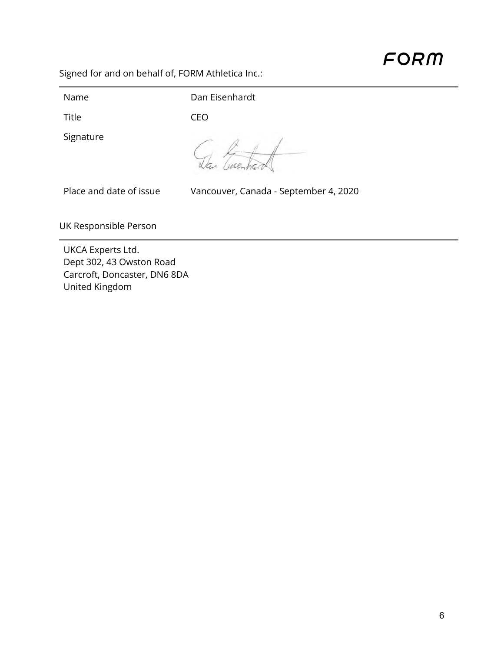Signed for and on behalf of, FORM Athletica Inc.:

Name Dan Eisenhardt Title CEO Signature Dan Eusentrand Place and date of issue Vancouver, Canada - September 4, 2020 UK Responsible Person

UKCA Experts Ltd. Dept 302, 43 Owston Road Carcroft, Doncaster, DN6 8DA United Kingdom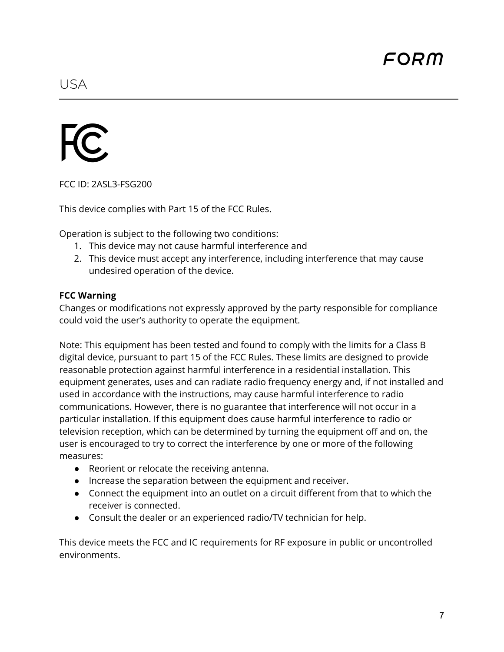<span id="page-7-0"></span>

FCC ID: 2ASL3-FSG200

This device complies with Part 15 of the FCC Rules.

Operation is subject to the following two conditions:

- 1. This device may not cause harmful interference and
- 2. This device must accept any interference, including interference that may cause undesired operation of the device.

#### **FCC Warning**

Changes or modifications not expressly approved by the party responsible for compliance could void the user's authority to operate the equipment.

Note: This equipment has been tested and found to comply with the limits for a Class B digital device, pursuant to part 15 of the FCC Rules. These limits are designed to provide reasonable protection against harmful interference in a residential installation. This equipment generates, uses and can radiate radio frequency energy and, if not installed and used in accordance with the instructions, may cause harmful interference to radio communications. However, there is no guarantee that interference will not occur in a particular installation. If this equipment does cause harmful interference to radio or television reception, which can be determined by turning the equipment off and on, the user is encouraged to try to correct the interference by one or more of the following measures:

- Reorient or relocate the receiving antenna.
- Increase the separation between the equipment and receiver.
- Connect the equipment into an outlet on a circuit different from that to which the receiver is connected.
- Consult the dealer or an experienced radio/TV technician for help.

This device meets the FCC and IC requirements for RF exposure in public or uncontrolled environments.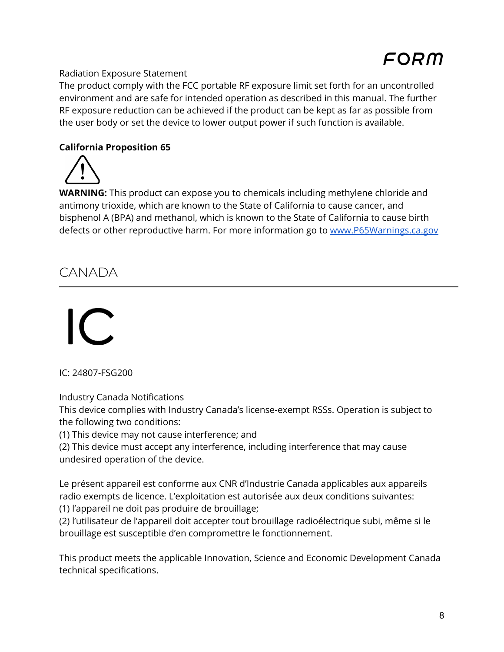#### Radiation Exposure Statement

The product comply with the FCC portable RF exposure limit set forth for an uncontrolled environment and are safe for intended operation as described in this manual. The further RF exposure reduction can be achieved if the product can be kept as far as possible from the user body or set the device to lower output power if such function is available.

#### **California Proposition 65**

**WARNING:** This product can expose you to chemicals including methylene chloride and antimony trioxide, which are known to the State of California to cause cancer, and bisphenol A (BPA) and methanol, which is known to the State of California to cause birth defects or other reproductive harm. For more information go to [www.P65Warnings.ca.gov](http://www.p65warnings.ca.gov)

# <span id="page-8-0"></span>CANADA

IC: 24807-FSG200

Industry Canada Notifications

This device complies with Industry Canada's license-exempt RSSs. Operation is subject to the following two conditions:

(1) This device may not cause interference; and

(2) This device must accept any interference, including interference that may cause undesired operation of the device.

Le présent appareil est conforme aux CNR d'Industrie Canada applicables aux appareils radio exempts de licence. L'exploitation est autorisée aux deux conditions suivantes:

(1) l'appareil ne doit pas produire de brouillage;

(2) l'utilisateur de l'appareil doit accepter tout brouillage radioélectrique subi, même si le brouillage est susceptible d'en compromettre le fonctionnement.

This product meets the applicable Innovation, Science and Economic Development Canada technical specifications.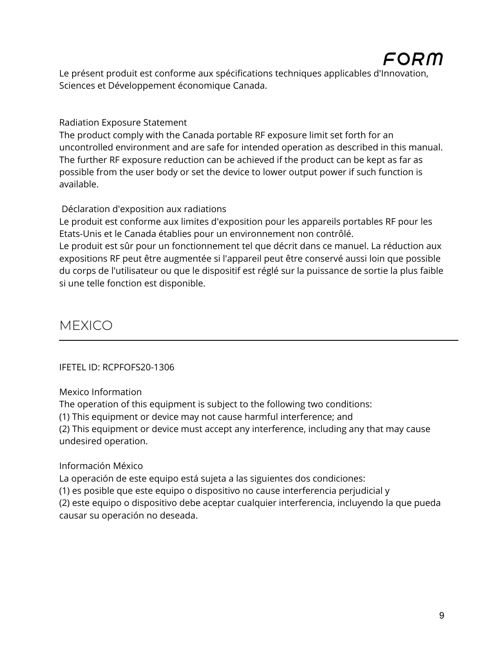Le présent produit est conforme aux spécifications techniques applicables d'Innovation, Sciences et Développement économique Canada.

Radiation Exposure Statement

The product comply with the Canada portable RF exposure limit set forth for an uncontrolled environment and are safe for intended operation as described in this manual. The further RF exposure reduction can be achieved if the product can be kept as far as possible from the user body or set the device to lower output power if such function is available.

#### Déclaration d'exposition aux radiations

Le produit est conforme aux limites d'exposition pour les appareils portables RF pour les Etats-Unis et le Canada établies pour un environnement non contrôlé.

Le produit est sûr pour un fonctionnement tel que décrit dans ce manuel. La réduction aux expositions RF peut être augmentée si l'appareil peut être conservé aussi loin que possible du corps de l'utilisateur ou que le dispositif est réglé sur la puissance de sortie la plus faible si une telle fonction est disponible.

# <span id="page-9-0"></span>MEXICO

#### IFETEL ID: RCPFOFS20-1306

Mexico Information

The operation of this equipment is subject to the following two conditions:

(1) This equipment or device may not cause harmful interference; and

(2) This equipment or device must accept any interference, including any that may cause undesired operation.

#### Información México

La operación de este equipo está sujeta a las siguientes dos condiciones:

(1) es posible que este equipo o dispositivo no cause interferencia perjudicial y

(2) este equipo o dispositivo debe aceptar cualquier interferencia, incluyendo la que pueda causar su operación no deseada.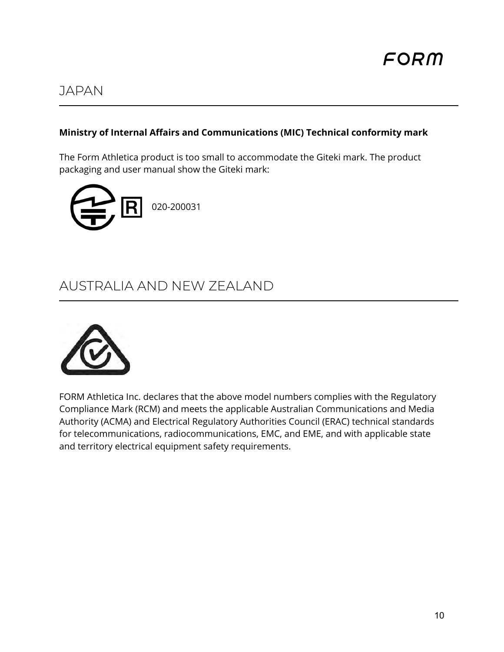## <span id="page-10-0"></span>JAPAN

### **Ministry of Internal Affairs and Communications (MIC) Technical conformity mark**

The Form Athletica product is too small to accommodate the Giteki mark. The product packaging and user manual show the Giteki mark:



# <span id="page-10-1"></span>AUSTRALIA AND NEW ZEALAND



FORM Athletica Inc. declares that the above model numbers complies with the Regulatory Compliance Mark (RCM) and meets the applicable Australian Communications and Media Authority (ACMA) and Electrical Regulatory Authorities Council (ERAC) technical standards for telecommunications, radiocommunications, EMC, and EME, and with applicable state and territory electrical equipment safety requirements.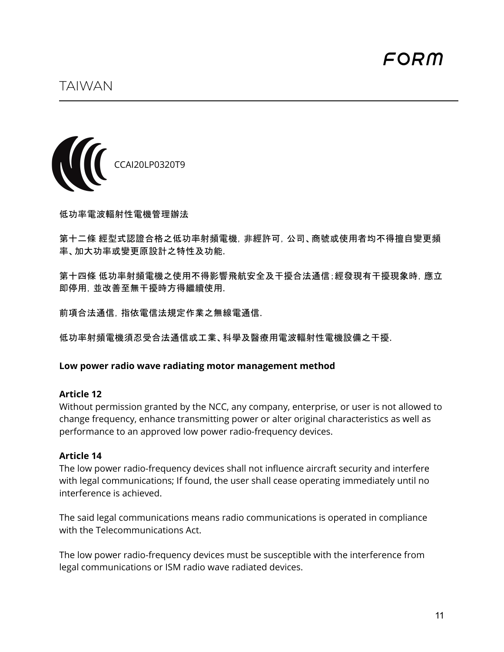<span id="page-11-0"></span>

低功率電波輻射性電機管理辦法

第十二條 經型式認證合格之低功率射頻電機,非經許可,公司、商號或使用者均不得擅自變更頻 率、加大功率或變更原設計之特性及功能.

第十四條 低功率射頻電機之使用不得影響飛航安全及干擾合法通信;經發現有干擾現象時,應立 即停用,並改善至無干擾時方得繼續使用.

前項合法通信,指依電信法規定作業之無線電通信.

低功率射頻電機須忍受合法通信或工業、科學及醫療用電波輻射性電機設備之干擾.

#### **Low power radio wave radiating motor management method**

#### **Article 12**

Without permission granted by the NCC, any company, enterprise, or user is not allowed to change frequency, enhance transmitting power or alter original characteristics as well as performance to an approved low power radio-frequency devices.

#### **Article 14**

The low power radio-frequency devices shall not influence aircraft security and interfere with legal communications; If found, the user shall cease operating immediately until no interference is achieved.

The said legal communications means radio communications is operated in compliance with the Telecommunications Act.

The low power radio-frequency devices must be susceptible with the interference from legal communications or ISM radio wave radiated devices.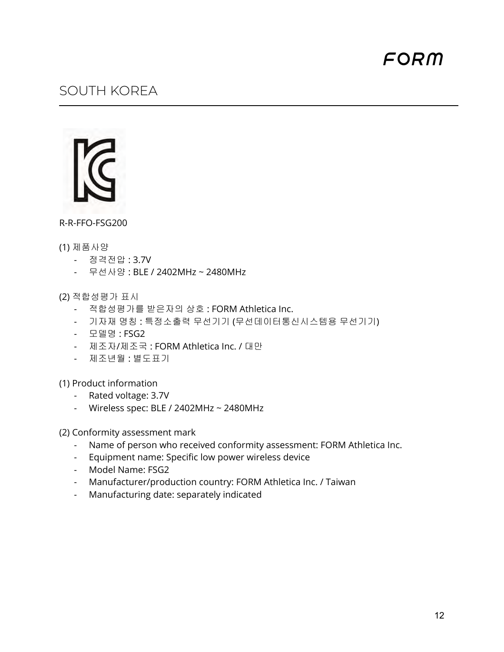## <span id="page-12-0"></span>SOUTH KOREA

R-R-FFO-FSG200

#### (1) 제품사양

- 정격전압 : 3.7V
- 무선사양 : BLE / 2402MHz ~ 2480MHz

(2) 적합성평가 표시

- 적합성평가를 받은자의 상호 : FORM Athletica Inc.
- 기자재 명칭 : 특정소출력 무선기기 (무선데이터통신시스템용 무선기기)
- 모델명 : FSG2
- 제조자/제조국 : FORM Athletica Inc. / 대만
- 제조년월 : 별도표기

(1) Product information

- Rated voltage: 3.7V
- Wireless spec: BLE / 2402MHz ~ 2480MHz

(2) Conformity assessment mark

- Name of person who received conformity assessment: FORM Athletica Inc.
- Equipment name: Specific low power wireless device
- Model Name: FSG2
- Manufacturer/production country: FORM Athletica Inc. / Taiwan
- Manufacturing date: separately indicated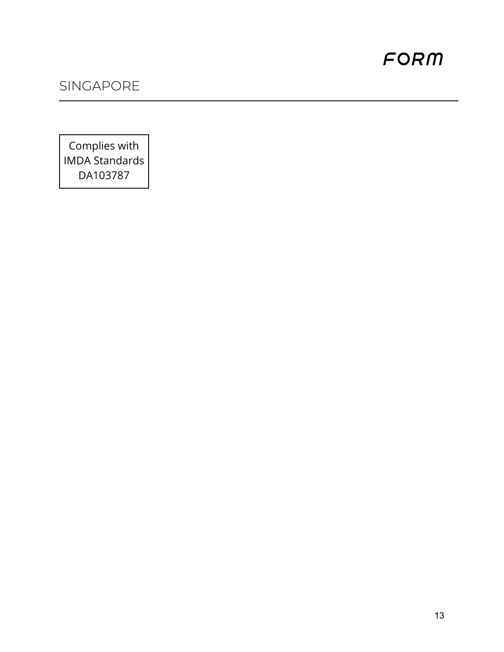# <span id="page-13-0"></span>SINGAPORE

Complies with IMDA Standards DA103787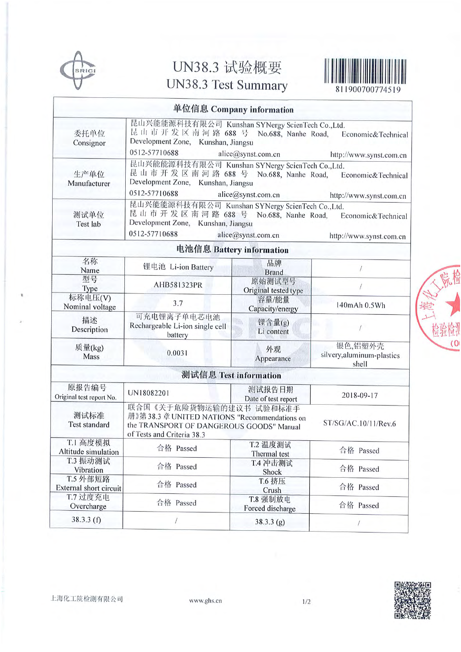

# UN38.3 试验概要 UN38.3 Test Summary



811900700774519

|                                                                                                                                                                                                    |                                                                                                                                                                                                                      | 单位信息 Company information       |                                                |  |  |
|----------------------------------------------------------------------------------------------------------------------------------------------------------------------------------------------------|----------------------------------------------------------------------------------------------------------------------------------------------------------------------------------------------------------------------|--------------------------------|------------------------------------------------|--|--|
| 委托单位<br>Consignor                                                                                                                                                                                  | 昆山兴能能源科技有限公司 Kunshan SYNergy ScienTech Co.,Ltd.<br>昆山市开发区南河路 688 号 No.688, Nanhe Road, Economic&Technical<br>Development Zone, Kunshan, Jiangsu<br>0512-57710688<br>alice@synst.com.cn<br>http://www.synst.com.cn    |                                |                                                |  |  |
| 生产单位<br>Manufacturer                                                                                                                                                                               | 昆山兴能能源科技有限公司 Kunshan SYNergy ScienTech Co.,Ltd.<br>昆山市开发区南河路 688 号 No.688, Nanhe Road,<br>Economic&Technical<br>Development Zone, Kunshan, Jiangsu<br>0512-57710688<br>alice@synst.com.cn<br>http://www.synst.com.cn |                                |                                                |  |  |
| 测试单位<br>Test lab                                                                                                                                                                                   | 昆山兴能能源科技有限公司 Kunshan SYNergy ScienTech Co.,Ltd.<br>昆山市开发区南河路 688 号 No.688, Nanhe Road,<br>Economic&Technical<br>Development Zone, Kunshan, Jiangsu<br>0512-57710688<br>alice@synst.com.cn<br>http://www.synst.com.cn |                                |                                                |  |  |
|                                                                                                                                                                                                    |                                                                                                                                                                                                                      | 电池信息 Battery information       |                                                |  |  |
| 名称<br>Name                                                                                                                                                                                         | 锂电池 Li-ion Battery                                                                                                                                                                                                   | 品牌<br><b>Brand</b>             |                                                |  |  |
| 型号<br>Type                                                                                                                                                                                         | AHB581323PR                                                                                                                                                                                                          | 原始测试型号<br>Original tested type |                                                |  |  |
| 标称电压(V)<br>Nominal voltage                                                                                                                                                                         | 3.7                                                                                                                                                                                                                  | 容量/能量<br>Capacity/energy       | 140mAh 0.5Wh                                   |  |  |
| 描述<br>Description                                                                                                                                                                                  | 可充电锂离子单电芯电池<br>Rechargeable Li-ion single cell<br>battery                                                                                                                                                            | 锂含量(g)<br>Li content           | a.                                             |  |  |
| 质量(kg)<br>Mass                                                                                                                                                                                     | 0.0031                                                                                                                                                                                                               | 外观<br>Appearance               | 银色,铝塑外壳<br>silvery, aluminum-plastics<br>shell |  |  |
|                                                                                                                                                                                                    | 测试信息 Test information                                                                                                                                                                                                |                                |                                                |  |  |
| 原报告编号<br>Original test report No.                                                                                                                                                                  | UN18082201                                                                                                                                                                                                           | 测试报告日期<br>Date of test report  | 2018-09-17                                     |  |  |
| 联合国《关于危险货物运输的建议书 试验和标准手<br>测试标准<br>册》第38.3 章 UNITED NATIONS "Recommendations on<br>ST/SG/AC.10/11/Rev.6<br>Test standard<br>the TRANSPORT OF DANGEROUS GOODS" Manual<br>of Tests and Criteria 38.3 |                                                                                                                                                                                                                      |                                |                                                |  |  |
| T.1 高度模拟<br>Altitude simulation                                                                                                                                                                    | 合格 Passed                                                                                                                                                                                                            | T.2 温度测试<br>Thermal test       | 合格 Passed                                      |  |  |
| T.3 振动测试<br>Vibration                                                                                                                                                                              | 合格 Passed                                                                                                                                                                                                            | T.4 冲击测试<br>Shock              | 合格 Passed                                      |  |  |
| T.5 外部短路<br>External short circuit                                                                                                                                                                 | 合格 Passed                                                                                                                                                                                                            | T.6 挤压<br>Crush                | 合格 Passed                                      |  |  |
| T.7 过度充电<br>Overcharge                                                                                                                                                                             | 合格 Passed                                                                                                                                                                                                            | T.8 强制放电<br>Forced discharge   | 合格 Passed                                      |  |  |
| 38.3.3(f)                                                                                                                                                                                          |                                                                                                                                                                                                                      | 38.3.3(g)                      |                                                |  |  |